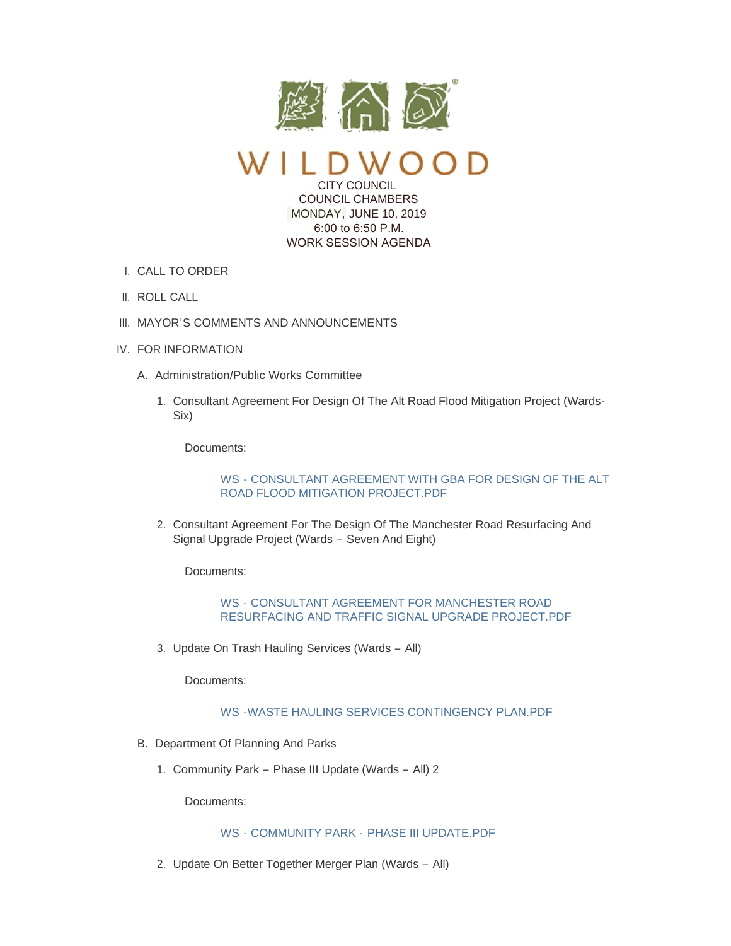

CITY COUNCIL COUNCIL CHAMBERS MONDAY, JUNE 10, 2019

 6:00 to 6:50 P.M. WORK SESSION AGENDA

- CALL TO ORDER I.
- II. ROLL CALL
- III. MAYOR'S COMMENTS AND ANNOUNCEMENTS
- IV. FOR INFORMATION
	- A. Administration/Public Works Committee
		- 1. Consultant Agreement For Design Of The Alt Road Flood Mitigation Project (Wards-Six)

Documents:

WS - [CONSULTANT AGREEMENT WITH GBA FOR DESIGN OF THE ALT](https://www.cityofwildwood.com/AgendaCenter/ViewFile/Item/20627?fileID=26495)  ROAD FLOOD MITIGATION PROJECT.PDF

2. Consultant Agreement For The Design Of The Manchester Road Resurfacing And Signal Upgrade Project (Wards – Seven And Eight)

Documents:

WS - CONSULTANT AGREEMENT FOR MANCHESTER ROAD [RESURFACING AND TRAFFIC SIGNAL UPGRADE PROJECT.PDF](https://www.cityofwildwood.com/AgendaCenter/ViewFile/Item/20628?fileID=26494)

3. Update On Trash Hauling Services (Wards - All)

Documents:

[WS -WASTE HAULING SERVICES CONTINGENCY PLAN.PDF](https://www.cityofwildwood.com/AgendaCenter/ViewFile/Item/20629?fileID=26503)

- B. Department Of Planning And Parks
	- 1. Community Park Phase III Update (Wards All) 2

Documents:

### WS - COMMUNITY PARK - [PHASE III UPDATE.PDF](https://www.cityofwildwood.com/AgendaCenter/ViewFile/Item/20631?fileID=26492)

2. Update On Better Together Merger Plan (Wards - All)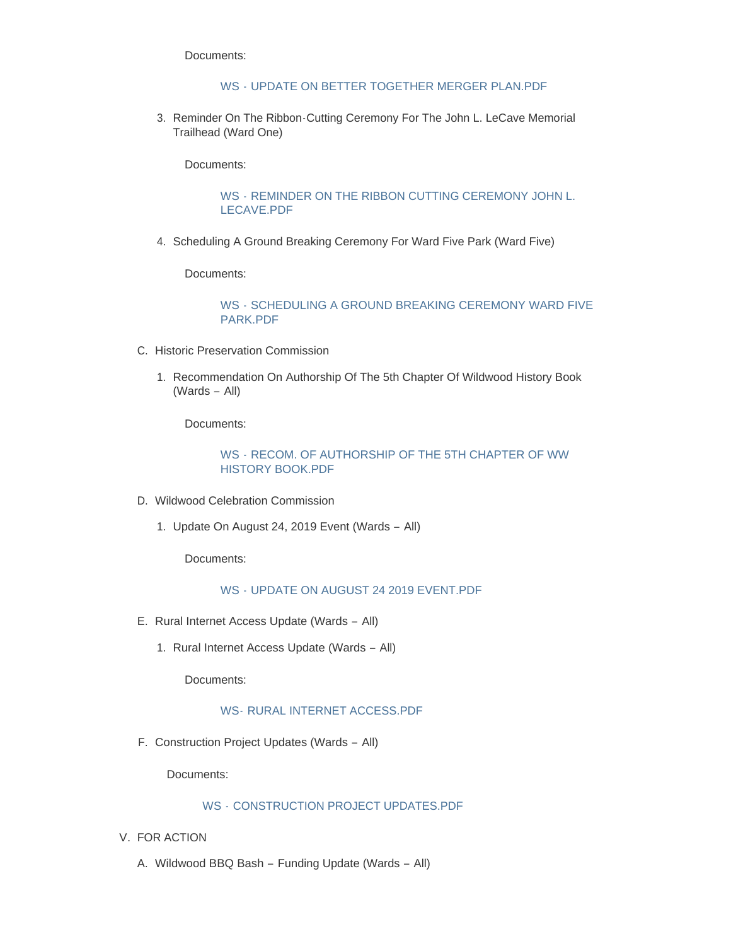Documents:

## WS - [UPDATE ON BETTER TOGETHER MERGER PLAN.PDF](https://www.cityofwildwood.com/AgendaCenter/ViewFile/Item/20632?fileID=26501)

3. Reminder On The Ribbon-Cutting Ceremony For The John L. LeCave Memorial Trailhead (Ward One)

Documents:

WS - [REMINDER ON THE RIBBON CUTTING CEREMONY JOHN L.](https://www.cityofwildwood.com/AgendaCenter/ViewFile/Item/20633?fileID=26498)  LECAVE.PDF

4. Scheduling A Ground Breaking Ceremony For Ward Five Park (Ward Five)

Documents:

WS - [SCHEDULING A GROUND BREAKING CEREMONY WARD FIVE](https://www.cityofwildwood.com/AgendaCenter/ViewFile/Item/20634?fileID=26499)  PARK.PDF

- C. Historic Preservation Commission
	- 1. Recommendation On Authorship Of The 5th Chapter Of Wildwood History Book (Wards – All)

Documents:

WS - [RECOM. OF AUTHORSHIP OF THE 5TH CHAPTER OF WW](https://www.cityofwildwood.com/AgendaCenter/ViewFile/Item/20636?fileID=26497)  HISTORY BOOK.PDF

- D. Wildwood Celebration Commission
	- 1. Update On August 24, 2019 Event (Wards All)

Documents:

### WS - [UPDATE ON AUGUST 24 2019 EVENT.PDF](https://www.cityofwildwood.com/AgendaCenter/ViewFile/Item/20638?fileID=26500)

- E. Rural Internet Access Update (Wards All)
	- 1. Rural Internet Access Update (Wards All)

Documents:

# WS- [RURAL INTERNET ACCESS.PDF](https://www.cityofwildwood.com/AgendaCenter/ViewFile/Item/20688?fileID=26505)

F. Construction Project Updates (Wards - All)

Documents:

### WS - [CONSTRUCTION PROJECT UPDATES.PDF](https://www.cityofwildwood.com/AgendaCenter/ViewFile/Item/20641?fileID=26493)

- V. FOR ACTION
	- A. Wildwood BBQ Bash Funding Update (Wards All)